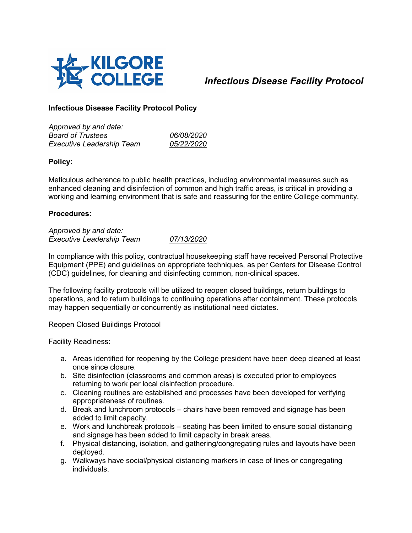

*Infectious Disease Facility Protocol*

# **Infectious Disease Facility Protocol Policy**

*Approved by and date: Board of Trustees 06/08/2020 Executive Leadership Team* 

### **Policy:**

Meticulous adherence to public health practices, including environmental measures such as enhanced cleaning and disinfection of common and high traffic areas, is critical in providing a working and learning environment that is safe and reassuring for the entire College community.

### **Procedures:**

*Approved by and date: Executive Leadership Team 07/13/2020*

In compliance with this policy, contractual housekeeping staff have received Personal Protective Equipment (PPE) and guidelines on appropriate techniques, as per Centers for Disease Control (CDC) guidelines, for cleaning and disinfecting common, non-clinical spaces.

The following facility protocols will be utilized to reopen closed buildings, return buildings to operations, and to return buildings to continuing operations after containment. These protocols may happen sequentially or concurrently as institutional need dictates.

#### Reopen Closed Buildings Protocol

Facility Readiness:

- a. Areas identified for reopening by the College president have been deep cleaned at least once since closure.
- b. Site disinfection (classrooms and common areas) is executed prior to employees returning to work per local disinfection procedure.
- c. Cleaning routines are established and processes have been developed for verifying appropriateness of routines.
- d. Break and lunchroom protocols chairs have been removed and signage has been added to limit capacity.
- e. Work and lunchbreak protocols seating has been limited to ensure social distancing and signage has been added to limit capacity in break areas.
- f. Physical distancing, isolation, and gathering/congregating rules and layouts have been deployed.
- g. Walkways have social/physical distancing markers in case of lines or congregating individuals.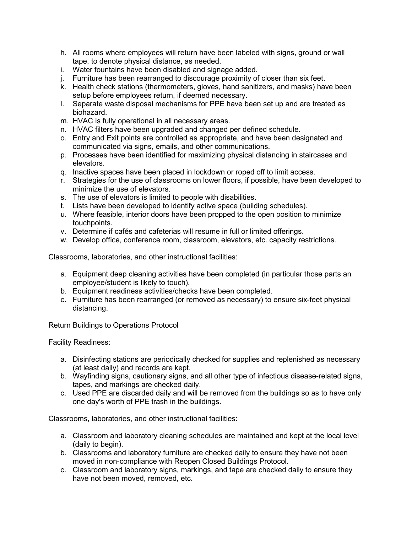- h. All rooms where employees will return have been labeled with signs, ground or wall tape, to denote physical distance, as needed.
- i. Water fountains have been disabled and signage added.
- j. Furniture has been rearranged to discourage proximity of closer than six feet.
- k. Health check stations (thermometers, gloves, hand sanitizers, and masks) have been setup before employees return, if deemed necessary.
- l. Separate waste disposal mechanisms for PPE have been set up and are treated as biohazard.
- m. HVAC is fully operational in all necessary areas.
- n. HVAC filters have been upgraded and changed per defined schedule.
- o. Entry and Exit points are controlled as appropriate, and have been designated and communicated via signs, emails, and other communications.
- p. Processes have been identified for maximizing physical distancing in staircases and elevators.
- q. Inactive spaces have been placed in lockdown or roped off to limit access.
- r. Strategies for the use of classrooms on lower floors, if possible, have been developed to minimize the use of elevators.
- s. The use of elevators is limited to people with disabilities.
- t. Lists have been developed to identify active space (building schedules).
- u. Where feasible, interior doors have been propped to the open position to minimize touchpoints.
- v. Determine if cafés and cafeterias will resume in full or limited offerings.
- w. Develop office, conference room, classroom, elevators, etc. capacity restrictions.

Classrooms, laboratories, and other instructional facilities:

- a. Equipment deep cleaning activities have been completed (in particular those parts an employee/student is likely to touch).
- b. Equipment readiness activities/checks have been completed.
- c. Furniture has been rearranged (or removed as necessary) to ensure six-feet physical distancing.

## Return Buildings to Operations Protocol

Facility Readiness:

- a. Disinfecting stations are periodically checked for supplies and replenished as necessary (at least daily) and records are kept.
- b. Wayfinding signs, cautionary signs, and all other type of infectious disease-related signs, tapes, and markings are checked daily.
- c. Used PPE are discarded daily and will be removed from the buildings so as to have only one day's worth of PPE trash in the buildings.

Classrooms, laboratories, and other instructional facilities:

- a. Classroom and laboratory cleaning schedules are maintained and kept at the local level (daily to begin).
- b. Classrooms and laboratory furniture are checked daily to ensure they have not been moved in non-compliance with Reopen Closed Buildings Protocol.
- c. Classroom and laboratory signs, markings, and tape are checked daily to ensure they have not been moved, removed, etc.